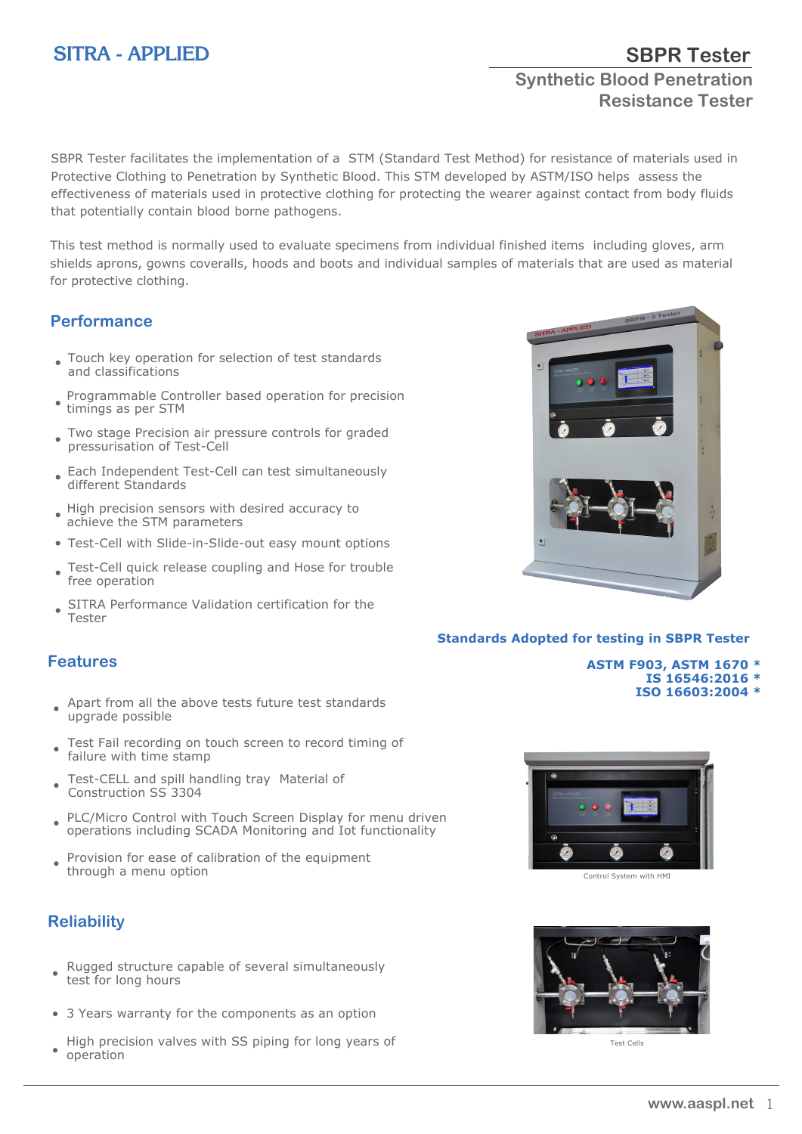# **SITRA - APPLIED**

# **Synthetic Blood Penetration Resistance Tester**

**SBPR Tester**

SBPR Tester facilitates the implementation of a STM (Standard Test Method) for resistance of materials used in Protective Clothing to Penetration by Synthetic Blood. This STM developed by ASTM/ISO helps assess the effectiveness of materials used in protective clothing for protecting the wearer against contact from body fluids that potentially contain blood borne pathogens.

This test method is normally used to evaluate specimens from individual finished items including gloves, arm shields aprons, gowns coveralls, hoods and boots and individual samples of materials that are used as material for protective clothing.

#### **Performance**

- Touch key operation for selection of test standards and classifications
- Programmable Controller based operation for precision timings as per STM
- Two stage Precision air pressure controls for graded pressurisation of Test-Cell
- Each Independent Test-Cell can test simultaneously different Standards
- High precision sensors with desired accuracy to achieve the STM parameters
- Test-Cell with Slide-in-Slide-out easy mount options
- Test-Cell quick release coupling and Hose for trouble free operation
- SITRA Performance Validation certification for the Tester

#### **Features**

- Apart from all the above tests future test standards ٠ upgrade possible
- Test Fail recording on touch screen to record timing of failure with time stamp
- Test-CELL and spill handling tray Material of Construction SS 3304
- PLC/Micro Control with Touch Screen Display for menu driven  $\bullet$ operations including SCADA Monitoring and Iot functionality
- Provision for ease of calibration of the equipment  $\bullet$ through a menu option

### **Reliability**

- Rugged structure capable of several simultaneously test for long hours
- 3 Years warranty for the components as an option
- High precision valves with SS piping for long years of operation



#### **Standards Adopted for testing in SBPR Tester**

**ASTM F903, ASTM 1670 \* IS 16546:2016 \* ISO 16603:2004 \***



Control System with HMI



Test Cells